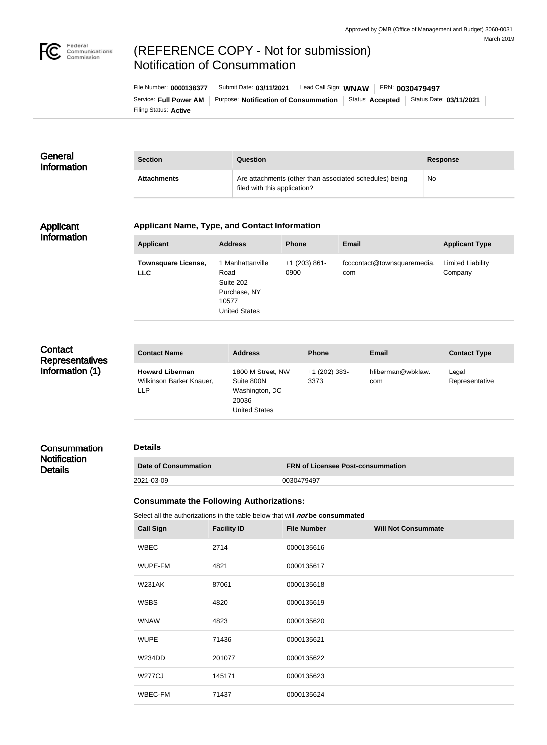

# (REFERENCE COPY - Not for submission) Notification of Consummation

Filing Status: **Active** Service: Full Power AM | Purpose: Notification of Consummation | Status: Accepted | Status Date: 03/11/2021 File Number: **0000138377** Submit Date: **03/11/2021** Lead Call Sign: **WNAW** FRN: **0030479497**

#### **General** Information **Section Question Response** Attachments **Attachments** Are attachments (other than associated schedules) being filed with this application? No

#### Applicant Information

#### **Applicant Name, Type, and Contact Information**

| <b>Applicant</b>                         | <b>Address</b>                                                                         | <b>Phone</b>            | Email                              | <b>Applicant Type</b>               |
|------------------------------------------|----------------------------------------------------------------------------------------|-------------------------|------------------------------------|-------------------------------------|
| <b>Townsquare License,</b><br><b>LLC</b> | 1 Manhattanville<br>Road<br>Suite 202<br>Purchase, NY<br>10577<br><b>United States</b> | $+1$ (203) 861-<br>0900 | fcccontact@townsquaremedia.<br>com | <b>Limited Liability</b><br>Company |

# **Contact Representatives** Information (1)

| 1800 M Street, NW<br>hliberman@wbklaw.<br><b>Howard Liberman</b><br>$+1$ (202) 383-<br>Legal<br>Wilkinson Barker Knauer,<br>Suite 800N<br>3373<br>Representative<br>com<br>Washington, DC<br><b>LLP</b><br>20036<br><b>United States</b> | <b>Contact Name</b> | <b>Address</b> | <b>Phone</b> | <b>Email</b> | <b>Contact Type</b> |
|------------------------------------------------------------------------------------------------------------------------------------------------------------------------------------------------------------------------------------------|---------------------|----------------|--------------|--------------|---------------------|
|                                                                                                                                                                                                                                          |                     |                |              |              |                     |

## **Consummation Notification Details**

#### **Details**

| <b>Date of Consummation</b> | <b>FRN of Licensee Post-consummation</b> |
|-----------------------------|------------------------------------------|
| 2021-03-09                  | 0030479497                               |

### **Consummate the Following Authorizations:**

Select all the authorizations in the table below that will *not* be consummated

| <b>Call Sign</b> | <b>Facility ID</b> | <b>File Number</b> | <b>Will Not Consummate</b> |
|------------------|--------------------|--------------------|----------------------------|
| <b>WBEC</b>      | 2714               | 0000135616         |                            |
| WUPE-FM          | 4821               | 0000135617         |                            |
| <b>W231AK</b>    | 87061              | 0000135618         |                            |
| <b>WSBS</b>      | 4820               | 0000135619         |                            |
| <b>WNAW</b>      | 4823               | 0000135620         |                            |
| <b>WUPE</b>      | 71436              | 0000135621         |                            |
| <b>W234DD</b>    | 201077             | 0000135622         |                            |
| <b>W277CJ</b>    | 145171             | 0000135623         |                            |
| WBEC-FM          | 71437              | 0000135624         |                            |